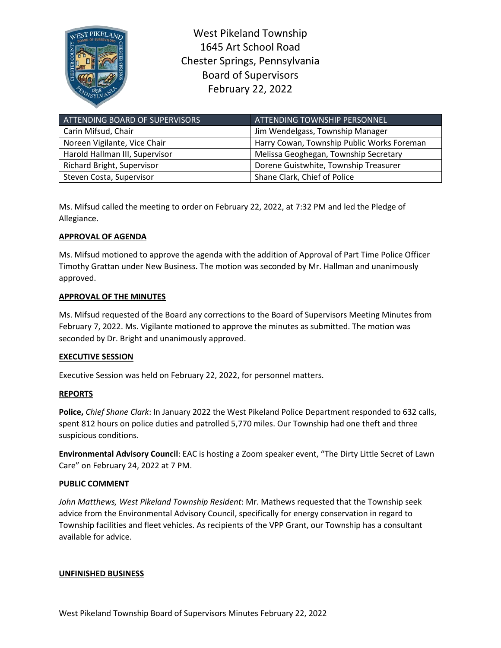

West Pikeland Township 1645 Art School Road Chester Springs, Pennsylvania Board of Supervisors February 22, 2022

| ATTENDING BOARD OF SUPERVISORS | <b>ATTENDING TOWNSHIP PERSONNEL</b>        |
|--------------------------------|--------------------------------------------|
| Carin Mifsud, Chair            | Jim Wendelgass, Township Manager           |
| Noreen Vigilante, Vice Chair   | Harry Cowan, Township Public Works Foreman |
| Harold Hallman III, Supervisor | Melissa Geoghegan, Township Secretary      |
| Richard Bright, Supervisor     | Dorene Guistwhite, Township Treasurer      |
| Steven Costa, Supervisor       | Shane Clark, Chief of Police               |

Ms. Mifsud called the meeting to order on February 22, 2022, at 7:32 PM and led the Pledge of Allegiance.

# **APPROVAL OF AGENDA**

Ms. Mifsud motioned to approve the agenda with the addition of Approval of Part Time Police Officer Timothy Grattan under New Business. The motion was seconded by Mr. Hallman and unanimously approved.

## **APPROVAL OF THE MINUTES**

Ms. Mifsud requested of the Board any corrections to the Board of Supervisors Meeting Minutes from February 7, 2022. Ms. Vigilante motioned to approve the minutes as submitted. The motion was seconded by Dr. Bright and unanimously approved.

### **EXECUTIVE SESSION**

Executive Session was held on February 22, 2022, for personnel matters.

## **REPORTS**

**Police,** *Chief Shane Clark*: In January 2022 the West Pikeland Police Department responded to 632 calls, spent 812 hours on police duties and patrolled 5,770 miles. Our Township had one theft and three suspicious conditions.

**Environmental Advisory Council**: EAC is hosting a Zoom speaker event, "The Dirty Little Secret of Lawn Care" on February 24, 2022 at 7 PM.

### **PUBLIC COMMENT**

*John Matthews, West Pikeland Township Resident*: Mr. Mathews requested that the Township seek advice from the Environmental Advisory Council, specifically for energy conservation in regard to Township facilities and fleet vehicles. As recipients of the VPP Grant, our Township has a consultant available for advice.

### **UNFINISHED BUSINESS**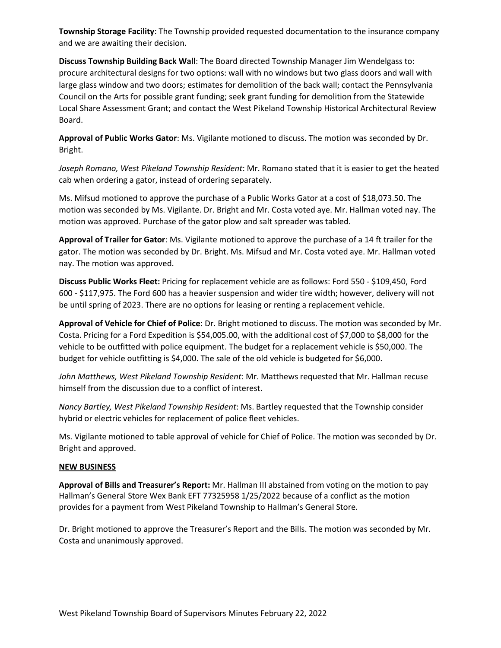**Township Storage Facility**: The Township provided requested documentation to the insurance company and we are awaiting their decision.

**Discuss Township Building Back Wall**: The Board directed Township Manager Jim Wendelgass to: procure architectural designs for two options: wall with no windows but two glass doors and wall with large glass window and two doors; estimates for demolition of the back wall; contact the Pennsylvania Council on the Arts for possible grant funding; seek grant funding for demolition from the Statewide Local Share Assessment Grant; and contact the West Pikeland Township Historical Architectural Review Board.

**Approval of Public Works Gator**: Ms. Vigilante motioned to discuss. The motion was seconded by Dr. Bright.

*Joseph Romano, West Pikeland Township Resident*: Mr. Romano stated that it is easier to get the heated cab when ordering a gator, instead of ordering separately.

Ms. Mifsud motioned to approve the purchase of a Public Works Gator at a cost of \$18,073.50. The motion was seconded by Ms. Vigilante. Dr. Bright and Mr. Costa voted aye. Mr. Hallman voted nay. The motion was approved. Purchase of the gator plow and salt spreader was tabled.

**Approval of Trailer for Gator**: Ms. Vigilante motioned to approve the purchase of a 14 ft trailer for the gator. The motion was seconded by Dr. Bright. Ms. Mifsud and Mr. Costa voted aye. Mr. Hallman voted nay. The motion was approved.

**Discuss Public Works Fleet:** Pricing for replacement vehicle are as follows: Ford 550 - \$109,450, Ford 600 - \$117,975. The Ford 600 has a heavier suspension and wider tire width; however, delivery will not be until spring of 2023. There are no options for leasing or renting a replacement vehicle.

**Approval of Vehicle for Chief of Police**: Dr. Bright motioned to discuss. The motion was seconded by Mr. Costa. Pricing for a Ford Expedition is \$54,005.00, with the additional cost of \$7,000 to \$8,000 for the vehicle to be outfitted with police equipment. The budget for a replacement vehicle is \$50,000. The budget for vehicle outfitting is \$4,000. The sale of the old vehicle is budgeted for \$6,000.

*John Matthews, West Pikeland Township Resident*: Mr. Matthews requested that Mr. Hallman recuse himself from the discussion due to a conflict of interest.

*Nancy Bartley, West Pikeland Township Resident*: Ms. Bartley requested that the Township consider hybrid or electric vehicles for replacement of police fleet vehicles.

Ms. Vigilante motioned to table approval of vehicle for Chief of Police. The motion was seconded by Dr. Bright and approved.

### **NEW BUSINESS**

**Approval of Bills and Treasurer's Report:** Mr. Hallman III abstained from voting on the motion to pay Hallman's General Store Wex Bank EFT 77325958 1/25/2022 because of a conflict as the motion provides for a payment from West Pikeland Township to Hallman's General Store.

Dr. Bright motioned to approve the Treasurer's Report and the Bills. The motion was seconded by Mr. Costa and unanimously approved.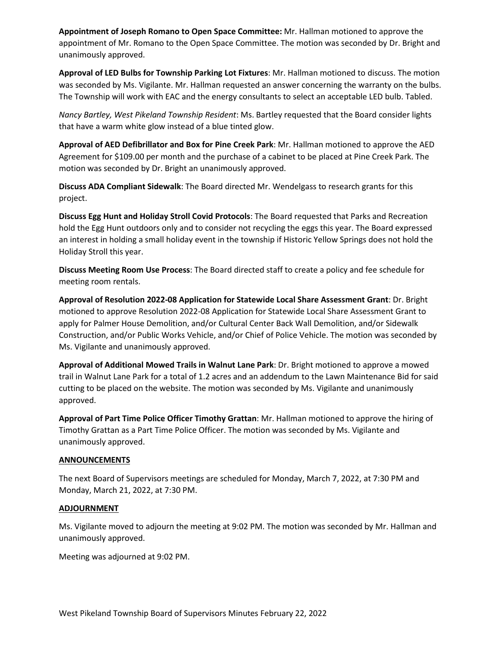**Appointment of Joseph Romano to Open Space Committee:** Mr. Hallman motioned to approve the appointment of Mr. Romano to the Open Space Committee. The motion was seconded by Dr. Bright and unanimously approved.

**Approval of LED Bulbs for Township Parking Lot Fixtures**: Mr. Hallman motioned to discuss. The motion was seconded by Ms. Vigilante. Mr. Hallman requested an answer concerning the warranty on the bulbs. The Township will work with EAC and the energy consultants to select an acceptable LED bulb. Tabled.

*Nancy Bartley, West Pikeland Township Resident*: Ms. Bartley requested that the Board consider lights that have a warm white glow instead of a blue tinted glow.

**Approval of AED Defibrillator and Box for Pine Creek Park**: Mr. Hallman motioned to approve the AED Agreement for \$109.00 per month and the purchase of a cabinet to be placed at Pine Creek Park. The motion was seconded by Dr. Bright an unanimously approved.

**Discuss ADA Compliant Sidewalk**: The Board directed Mr. Wendelgass to research grants for this project.

**Discuss Egg Hunt and Holiday Stroll Covid Protocols**: The Board requested that Parks and Recreation hold the Egg Hunt outdoors only and to consider not recycling the eggs this year. The Board expressed an interest in holding a small holiday event in the township if Historic Yellow Springs does not hold the Holiday Stroll this year.

**Discuss Meeting Room Use Process**: The Board directed staff to create a policy and fee schedule for meeting room rentals.

**Approval of Resolution 2022-08 Application for Statewide Local Share Assessment Grant**: Dr. Bright motioned to approve Resolution 2022-08 Application for Statewide Local Share Assessment Grant to apply for Palmer House Demolition, and/or Cultural Center Back Wall Demolition, and/or Sidewalk Construction, and/or Public Works Vehicle, and/or Chief of Police Vehicle. The motion was seconded by Ms. Vigilante and unanimously approved.

**Approval of Additional Mowed Trails in Walnut Lane Park**: Dr. Bright motioned to approve a mowed trail in Walnut Lane Park for a total of 1.2 acres and an addendum to the Lawn Maintenance Bid for said cutting to be placed on the website. The motion was seconded by Ms. Vigilante and unanimously approved.

**Approval of Part Time Police Officer Timothy Grattan**: Mr. Hallman motioned to approve the hiring of Timothy Grattan as a Part Time Police Officer. The motion was seconded by Ms. Vigilante and unanimously approved.

### **ANNOUNCEMENTS**

The next Board of Supervisors meetings are scheduled for Monday, March 7, 2022, at 7:30 PM and Monday, March 21, 2022, at 7:30 PM.

### **ADJOURNMENT**

Ms. Vigilante moved to adjourn the meeting at 9:02 PM. The motion was seconded by Mr. Hallman and unanimously approved.

Meeting was adjourned at 9:02 PM.